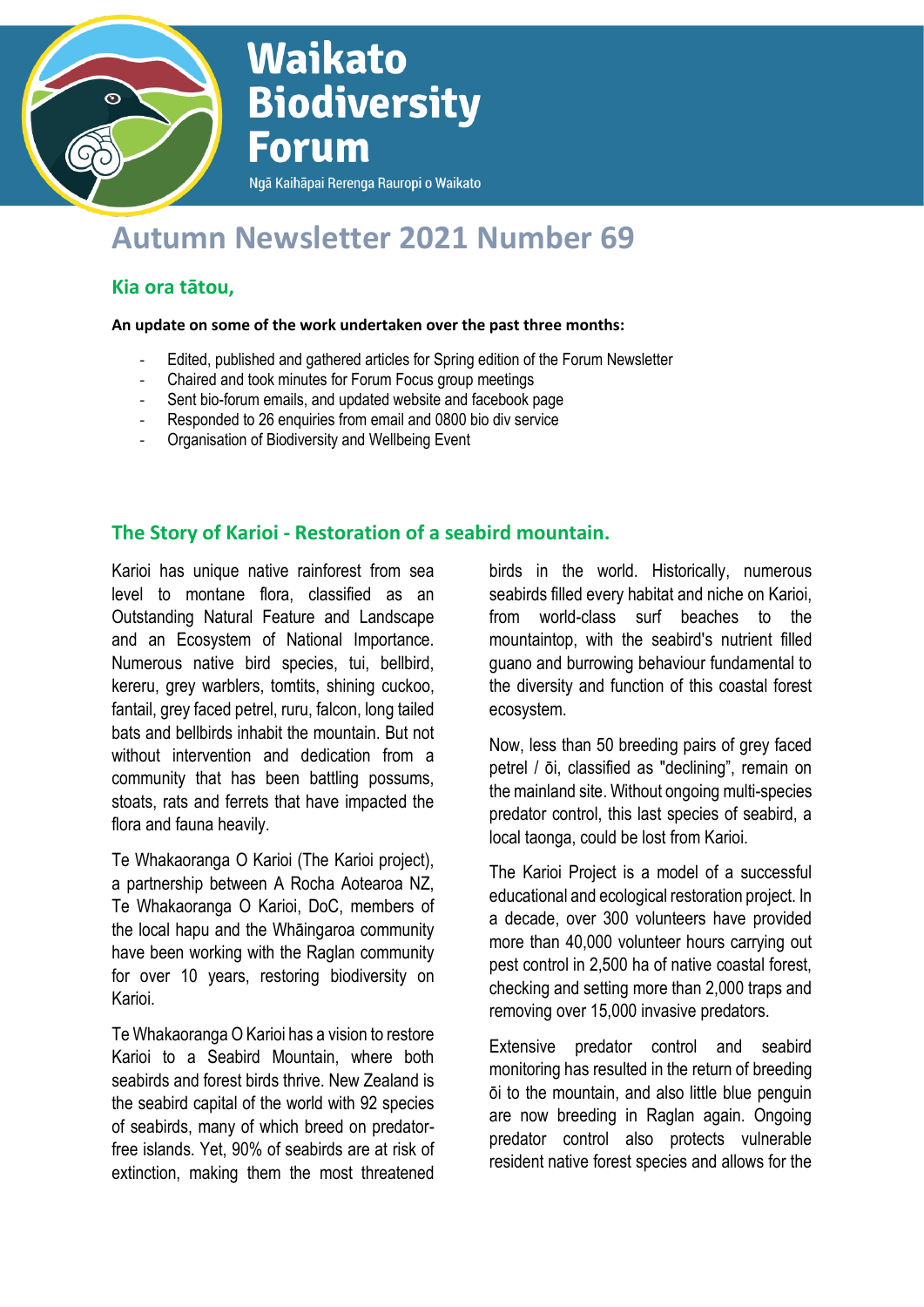

# **Waikato Biodiversity Forum** Ngā Kaihāpai Rerenga Rauropi o Waikato

## **Autumn Newsletter 2021 Number 69**

## **Kia ora tātou,**

**An update on some of the work undertaken over the past three months:**

- Edited, published and gathered articles for Spring edition of the Forum Newsletter
- Chaired and took minutes for Forum Focus group meetings
- Sent bio-forum emails, and updated website and facebook page
- Responded to 26 enquiries from email and 0800 bio div service
- Organisation of Biodiversity and Wellbeing Event

## **The Story of Karioi - Restoration of a seabird mountain.**

Karioi has unique native rainforest from sea level to montane flora, classified as an Outstanding Natural Feature and Landscape and an Ecosystem of National Importance. Numerous native bird species, tui, bellbird, kereru, grey warblers, tomtits, shining cuckoo, fantail, grey faced petrel, ruru, falcon, long tailed bats and bellbirds inhabit the mountain. But not without intervention and dedication from a community that has been battling possums, stoats, rats and ferrets that have impacted the flora and fauna heavily.

Te Whakaoranga O Karioi (The Karioi project), a partnership between A Rocha Aotearoa NZ, Te Whakaoranga O Karioi, DoC, members of the local hapu and the Whāingaroa community have been working with the Raglan community for over 10 years, restoring biodiversity on Karioi.

Te Whakaoranga O Karioi has a vision to restore Karioi to a Seabird Mountain, where both seabirds and forest birds thrive. New Zealand is the seabird capital of the world with 92 species of seabirds, many of which breed on predatorfree islands. Yet, 90% of seabirds are at risk of extinction, making them the most threatened

birds in the world. Historically, numerous seabirds filled every habitat and niche on Karioi, from world-class surf beaches to the mountaintop, with the seabird's nutrient filled guano and burrowing behaviour fundamental to the diversity and function of this coastal forest ecosystem.

Now, less than 50 breeding pairs of grey faced petrel / ōi, classified as "declining", remain on the mainland site. Without ongoing multi-species predator control, this last species of seabird, a local taonga, could be lost from Karioi.

The Karioi Project is a model of a successful educational and ecological restoration project. In a decade, over 300 volunteers have provided more than 40,000 volunteer hours carrying out pest control in 2,500 ha of native coastal forest, checking and setting more than 2,000 traps and removing over 15,000 invasive predators.

Extensive predator control and seabird monitoring has resulted in the return of breeding ōi to the mountain, and also little blue penguin are now breeding in Raglan again. Ongoing predator control also protects vulnerable resident native forest species and allows for the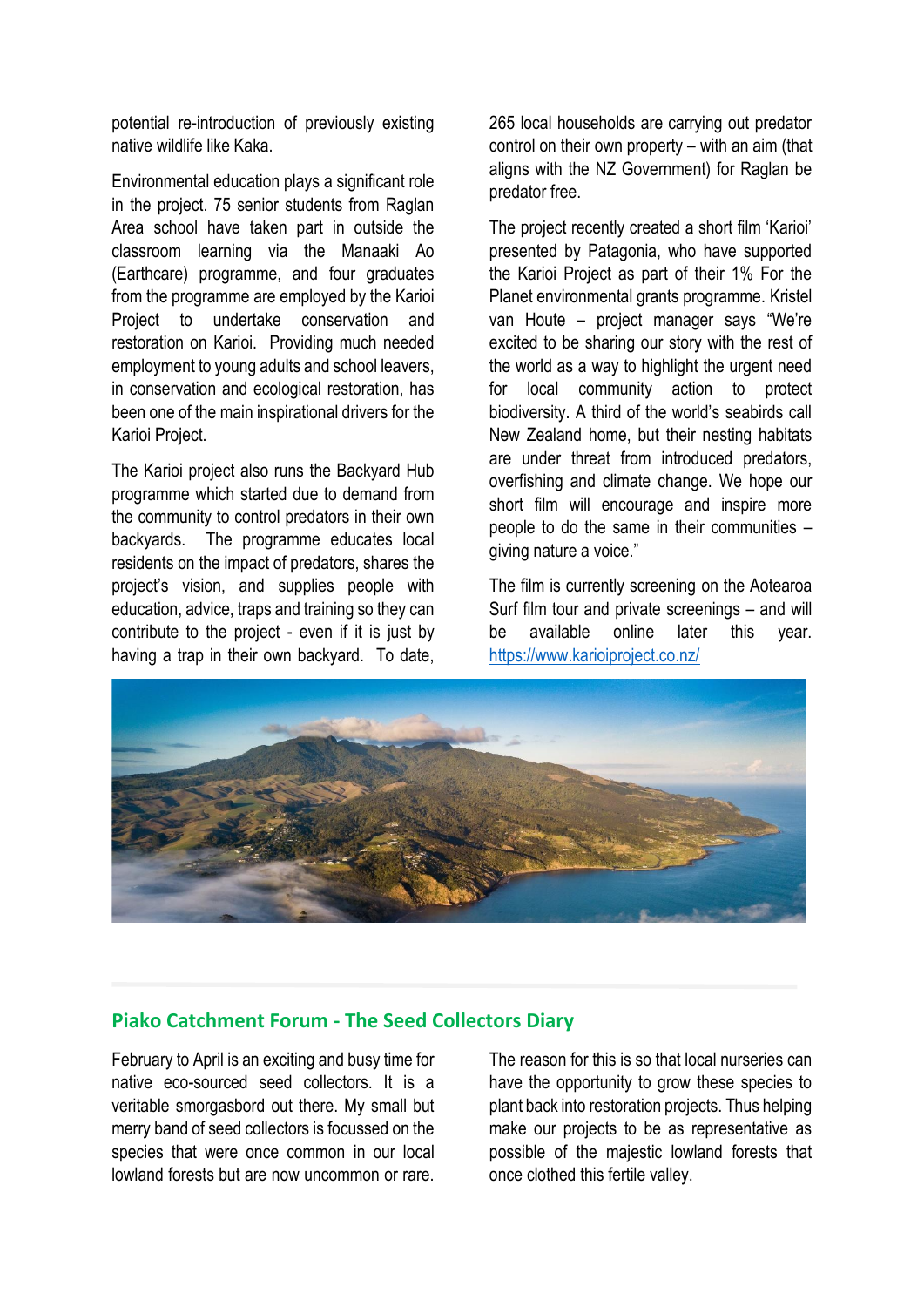potential re-introduction of previously existing native wildlife like Kaka.

Environmental education plays a significant role in the project. 75 senior students from Raglan Area school have taken part in outside the classroom learning via the Manaaki Ao (Earthcare) programme, and four graduates from the programme are employed by the Karioi Project to undertake conservation and restoration on Karioi. Providing much needed employment to young adults and school leavers, in conservation and ecological restoration, has been one of the main inspirational drivers for the Karioi Project.

The Karioi project also runs the Backyard Hub programme which started due to demand from the community to control predators in their own backyards. The programme educates local residents on the impact of predators, shares the project's vision, and supplies people with education, advice, traps and training so they can contribute to the project - even if it is just by having a trap in their own backyard. To date,

265 local households are carrying out predator control on their own property – with an aim (that aligns with the NZ Government) for Raglan be predator free.

The project recently created a short film 'Karioi' presented by Patagonia, who have supported the Karioi Project as part of their 1% For the Planet environmental grants programme. Kristel van Houte – project manager says "We're excited to be sharing our story with the rest of the world as a way to highlight the urgent need for local community action to protect biodiversity. A third of the world's seabirds call New Zealand home, but their nesting habitats are under threat from introduced predators, overfishing and climate change. We hope our short film will encourage and inspire more people to do the same in their communities – giving nature a voice."

The film is currently screening on the Aotearoa Surf film tour and private screenings – and will be available online later this year. <https://www.karioiproject.co.nz/>



## **Piako Catchment Forum - The Seed Collectors Diary**

February to April is an exciting and busy time for native eco-sourced seed collectors. It is a veritable smorgasbord out there. My small but merry band of seed collectors is focussed on the species that were once common in our local lowland forests but are now uncommon or rare.

The reason for this is so that local nurseries can have the opportunity to grow these species to plant back into restoration projects. Thus helping make our projects to be as representative as possible of the majestic lowland forests that once clothed this fertile valley.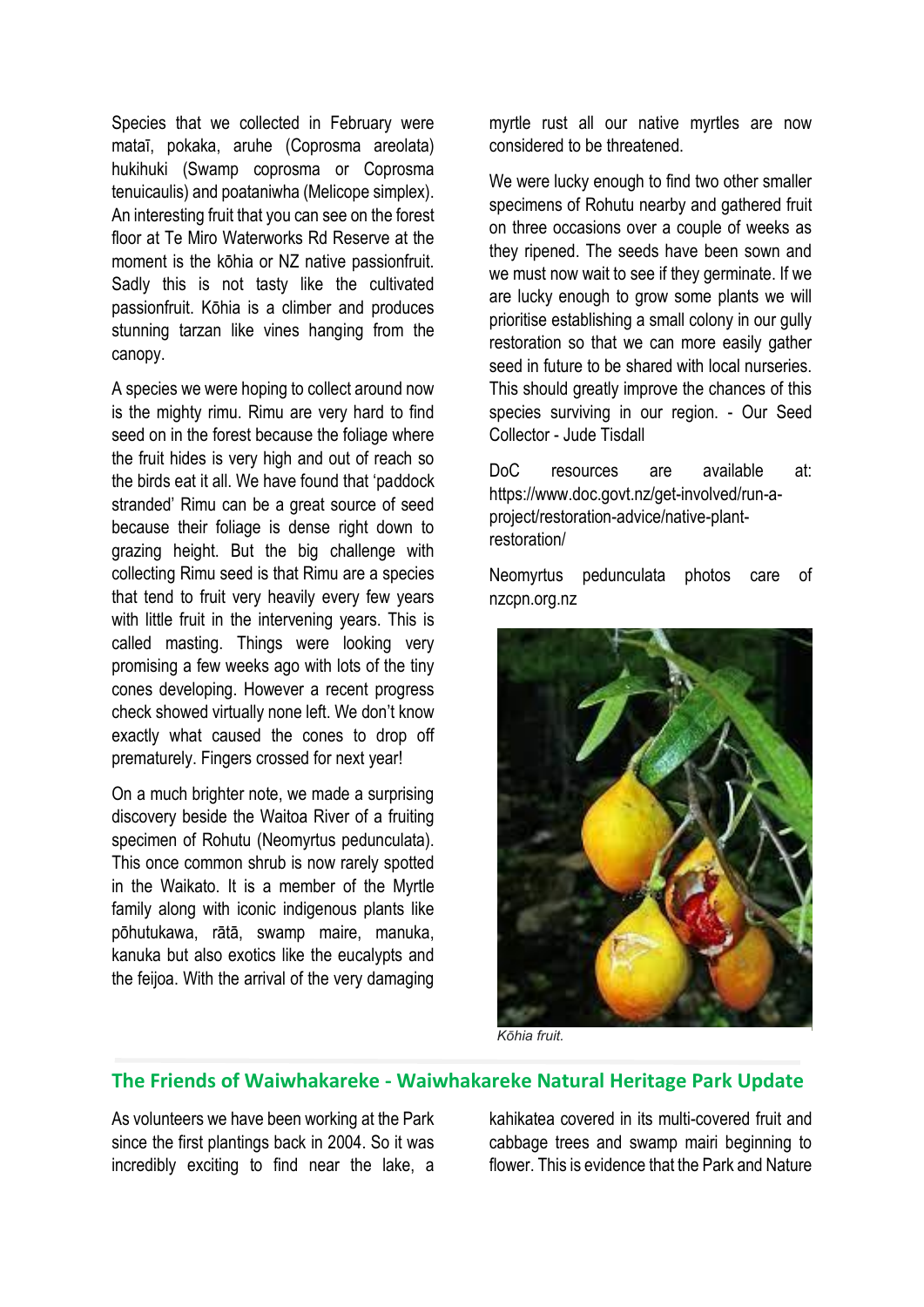Species that we collected in February were mataī, pokaka, aruhe (Coprosma areolata) hukihuki (Swamp coprosma or Coprosma tenuicaulis) and poataniwha (Melicope simplex). An interesting fruit that you can see on the forest floor at Te Miro Waterworks Rd Reserve at the moment is the kōhia or NZ native passionfruit. Sadly this is not tasty like the cultivated passionfruit. Kōhia is a climber and produces stunning tarzan like vines hanging from the canopy.

A species we were hoping to collect around now is the mighty rimu. Rimu are very hard to find seed on in the forest because the foliage where the fruit hides is very high and out of reach so the birds eat it all. We have found that 'paddock stranded' Rimu can be a great source of seed because their foliage is dense right down to grazing height. But the big challenge with collecting Rimu seed is that Rimu are a species that tend to fruit very heavily every few years with little fruit in the intervening years. This is called masting. Things were looking very promising a few weeks ago with lots of the tiny cones developing. However a recent progress check showed virtually none left. We don't know exactly what caused the cones to drop off prematurely. Fingers crossed for next year!

On a much brighter note, we made a surprising discovery beside the Waitoa River of a fruiting specimen of Rohutu (Neomyrtus pedunculata). This once common shrub is now rarely spotted in the Waikato. It is a member of the Myrtle family along with iconic indigenous plants like pōhutukawa, rātā, swamp maire, manuka, kanuka but also exotics like the eucalypts and the feijoa. With the arrival of the very damaging

myrtle rust all our native myrtles are now considered to be threatened.

We were lucky enough to find two other smaller specimens of Rohutu nearby and gathered fruit on three occasions over a couple of weeks as they ripened. The seeds have been sown and we must now wait to see if they germinate. If we are lucky enough to grow some plants we will prioritise establishing a small colony in our gully restoration so that we can more easily gather seed in future to be shared with local nurseries. This should greatly improve the chances of this species surviving in our region. - Our Seed Collector - Jude Tisdall

DoC resources are available at: https://www.doc.govt.nz/get-involved/run-aproject/restoration-advice/native-plantrestoration/

Neomyrtus pedunculata photos care of nzcpn.org.nz



*Kōhia fruit.*

### **The Friends of Waiwhakareke - Waiwhakareke Natural Heritage Park Update**

As volunteers we have been working at the Park since the first plantings back in 2004. So it was incredibly exciting to find near the lake, a

kahikatea covered in its multi-covered fruit and cabbage trees and swamp mairi beginning to flower. This is evidence that the Park and Nature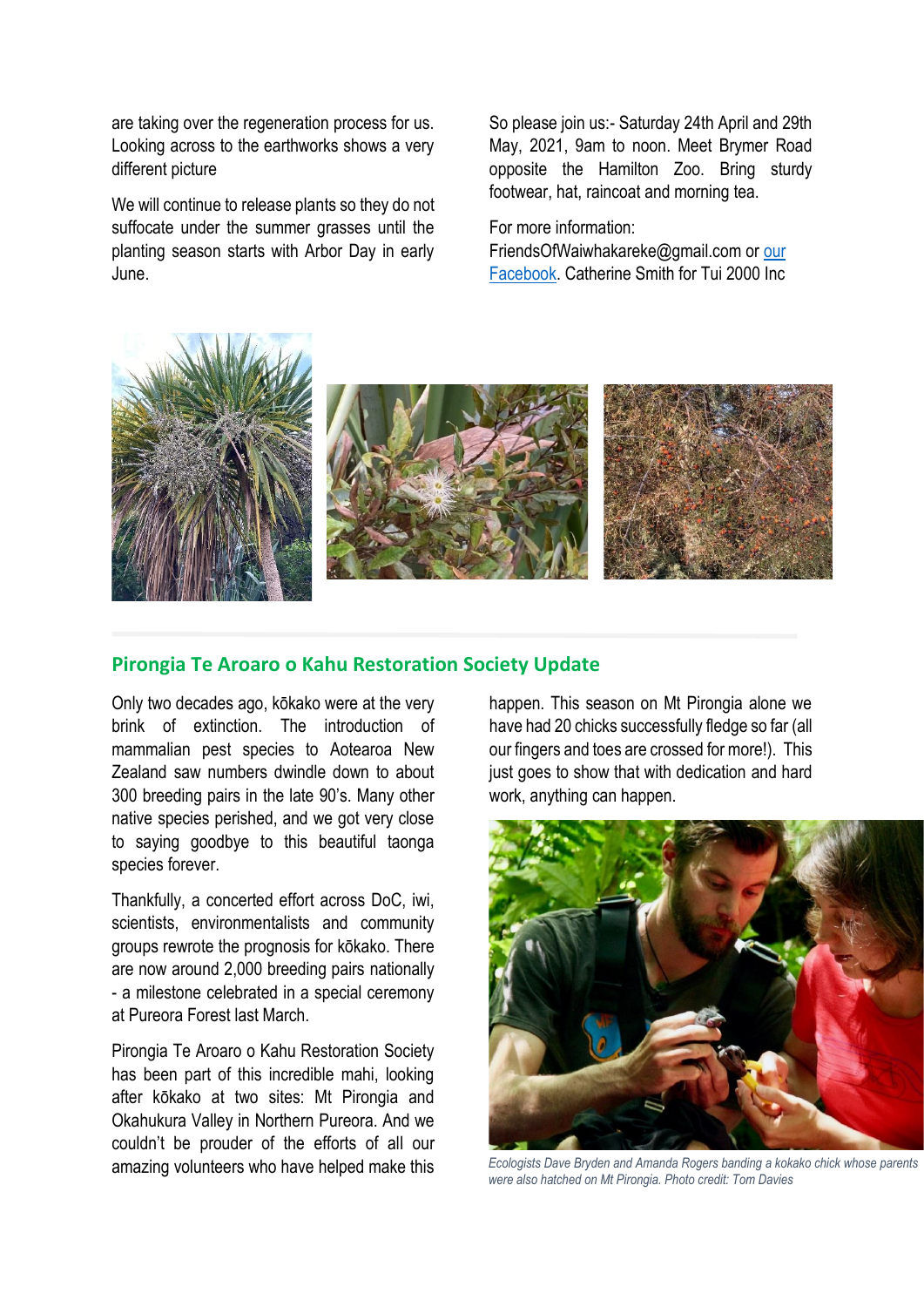are taking over the regeneration process for us. Looking across to the earthworks shows a very different picture

We will continue to release plants so they do not suffocate under the summer grasses until the planting season starts with Arbor Day in early June.

So please join us:- Saturday 24th April and 29th May, 2021, 9am to noon. Meet Brymer Road opposite the Hamilton Zoo. Bring sturdy footwear, hat, raincoat and morning tea.

For more information: FriendsOfWaiwhakareke@gmail.com or [our](https://www.facebook.com/waiwhakarekenaturalheritagepark/)  [Facebook.](https://www.facebook.com/waiwhakarekenaturalheritagepark/) Catherine Smith for Tui 2000 Inc



#### **Pirongia Te Aroaro o Kahu Restoration Society Update**

Only two decades ago, kōkako were at the very brink of extinction. The introduction of mammalian pest species to Aotearoa New Zealand saw numbers dwindle down to about 300 breeding pairs in the late 90's. Many other native species perished, and we got very close to saying goodbye to this beautiful taonga species forever.

Thankfully, a concerted effort across DoC, iwi, scientists, environmentalists and community groups rewrote the prognosis for kōkako. There are now around 2,000 breeding pairs nationally - a milestone celebrated in a special ceremony at Pureora Forest last March.

Pirongia Te Aroaro o Kahu Restoration Society has been part of this incredible mahi, looking after kōkako at two sites: Mt Pirongia and Okahukura Valley in Northern Pureora. And we couldn't be prouder of the efforts of all our amazing volunteers who have helped make this

happen. This season on Mt Pirongia alone we have had 20 chicks successfully fledge so far (all our fingers and toes are crossed for more!). This just goes to show that with dedication and hard work, anything can happen.



*Ecologists Dave Bryden and Amanda Rogers banding a kokako chick whose parents were also hatched on Mt Pirongia. Photo credit: Tom Davies*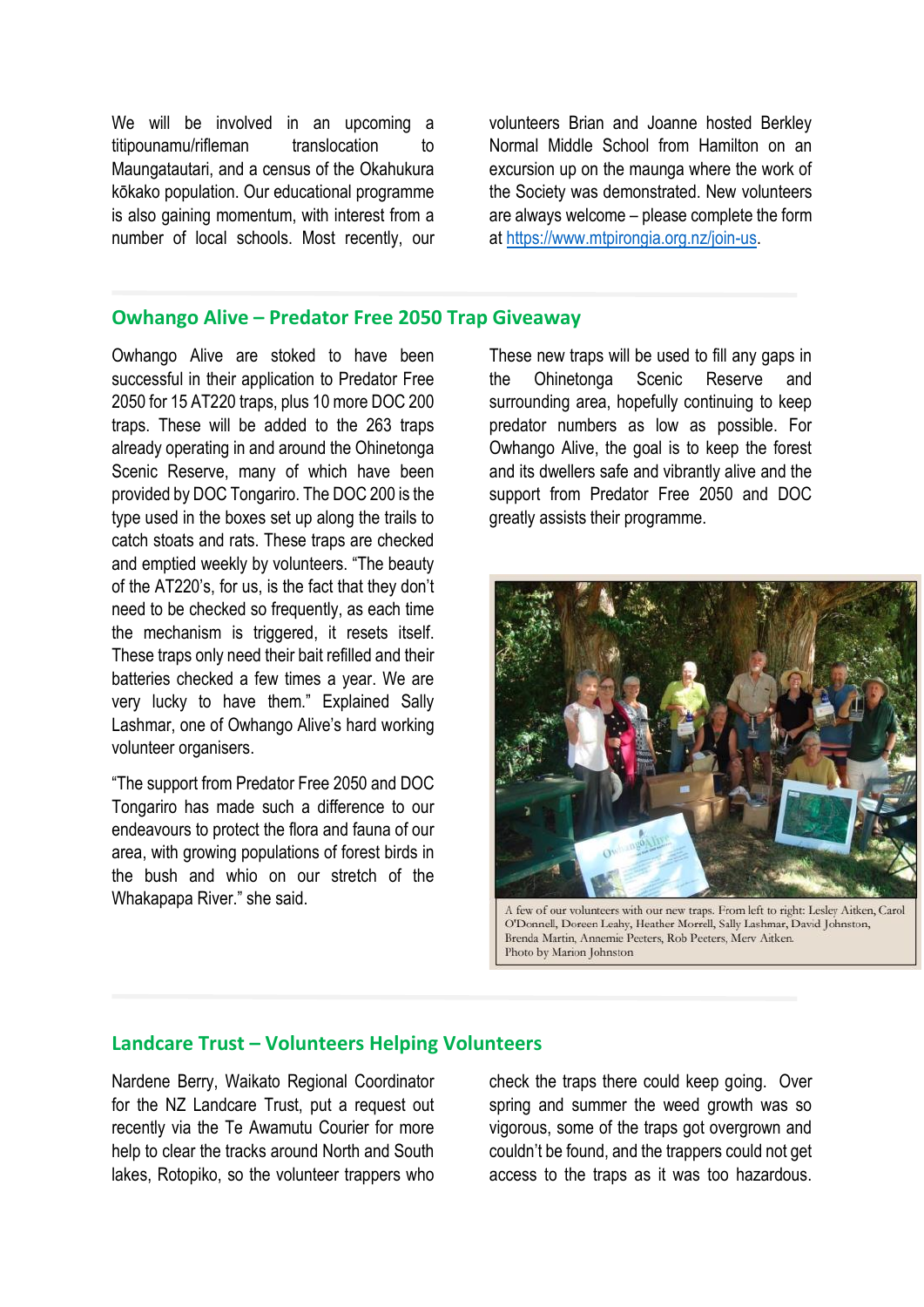We will be involved in an upcoming a titipounamu/rifleman translocation to Maungatautari, and a census of the Okahukura kōkako population. Our educational programme is also gaining momentum, with interest from a number of local schools. Most recently, our volunteers Brian and Joanne hosted Berkley Normal Middle School from Hamilton on an excursion up on the maunga where the work of the Society was demonstrated. New volunteers are always welcome – please complete the form at [https://www.mtpirongia.org.nz/join-us.](https://www.mtpirongia.org.nz/join-us)

#### **Owhango Alive – Predator Free 2050 Trap Giveaway**

Owhango Alive are stoked to have been successful in their application to Predator Free 2050 for 15 AT220 traps, plus 10 more DOC 200 traps. These will be added to the 263 traps already operating in and around the Ohinetonga Scenic Reserve, many of which have been provided by DOC Tongariro. The DOC 200 is the type used in the boxes set up along the trails to catch stoats and rats. These traps are checked and emptied weekly by volunteers. "The beauty of the AT220's, for us, is the fact that they don't need to be checked so frequently, as each time the mechanism is triggered, it resets itself. These traps only need their bait refilled and their batteries checked a few times a year. We are very lucky to have them." Explained Sally Lashmar, one of Owhango Alive's hard working volunteer organisers.

"The support from Predator Free 2050 and DOC Tongariro has made such a difference to our endeavours to protect the flora and fauna of our area, with growing populations of forest birds in the bush and whio on our stretch of the Whakapapa River." she said.

These new traps will be used to fill any gaps in the Ohinetonga Scenic Reserve and surrounding area, hopefully continuing to keep predator numbers as low as possible. For Owhango Alive, the goal is to keep the forest and its dwellers safe and vibrantly alive and the support from Predator Free 2050 and DOC greatly assists their programme.



A few of our volunteers with our new traps. From left to right: Lesley Aitken, Carol O'Donnell, Doreen Leahy, Heather Morrell, Sally Lashmar, David Johnston, Brenda Martin, Annemie Peeters, Rob Peeters, Merv Aitken. Photo by Marion Johnston

### **Landcare Trust – Volunteers Helping Volunteers**

Nardene Berry, Waikato Regional Coordinator for the NZ Landcare Trust, put a request out recently via the Te Awamutu Courier for more help to clear the tracks around North and South lakes, Rotopiko, so the volunteer trappers who check the traps there could keep going. Over spring and summer the weed growth was so vigorous, some of the traps got overgrown and couldn't be found, and the trappers could not get access to the traps as it was too hazardous.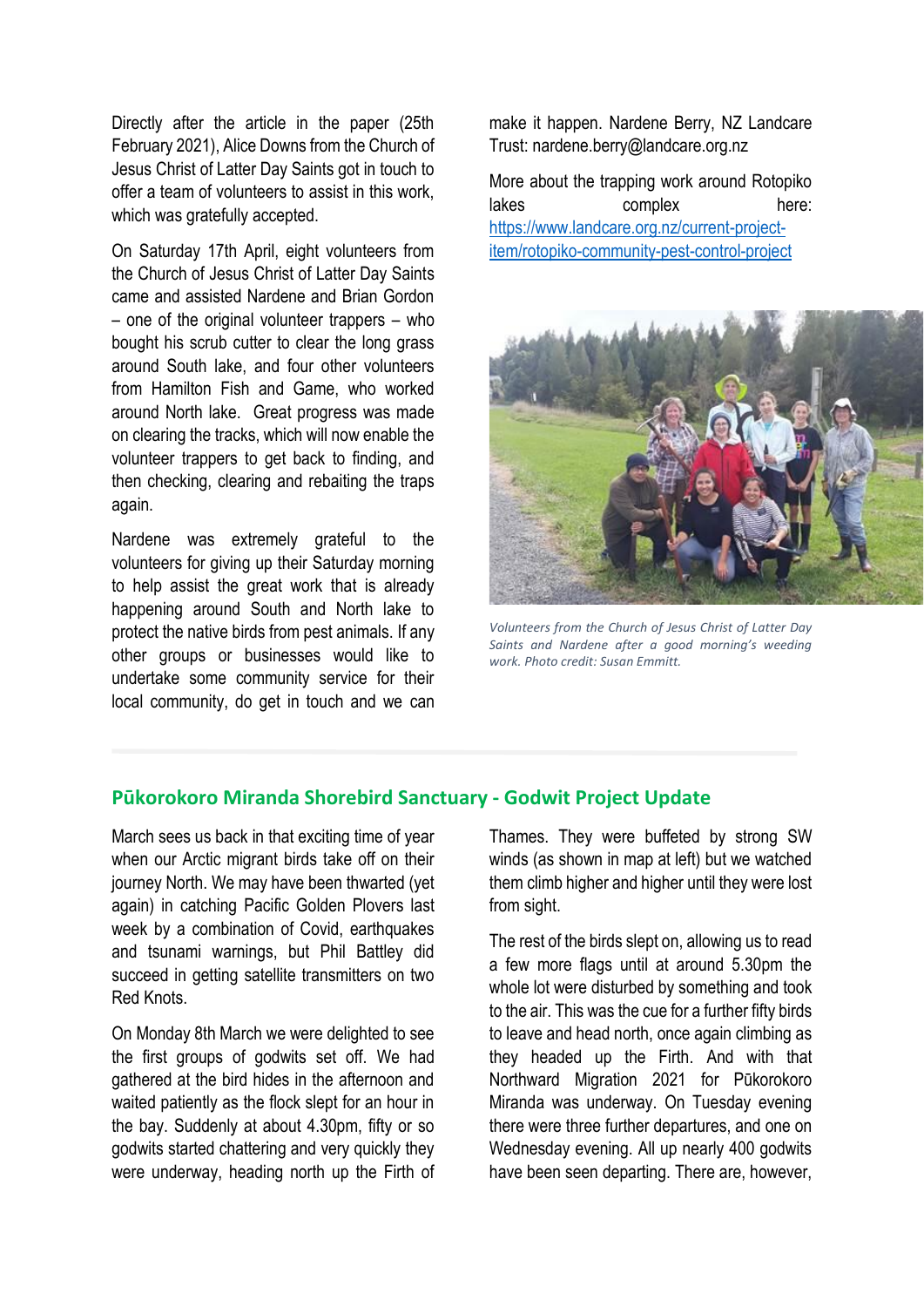Directly after the article in the paper (25th February 2021), Alice Downs from the Church of Jesus Christ of Latter Day Saints got in touch to offer a team of volunteers to assist in this work, which was gratefully accepted.

On Saturday 17th April, eight volunteers from the Church of Jesus Christ of Latter Day Saints came and assisted Nardene and Brian Gordon – one of the original volunteer trappers – who bought his scrub cutter to clear the long grass around South lake, and four other volunteers from Hamilton Fish and Game, who worked around North lake. Great progress was made on clearing the tracks, which will now enable the volunteer trappers to get back to finding, and then checking, clearing and rebaiting the traps again.

Nardene was extremely grateful to the volunteers for giving up their Saturday morning to help assist the great work that is already happening around South and North lake to protect the native birds from pest animals. If any other groups or businesses would like to undertake some community service for their local community, do get in touch and we can make it happen. Nardene Berry, NZ Landcare Trust: nardene.berry@landcare.org.nz

More about the trapping work around Rotopiko lakes complex here: [https://www.landcare.org.nz/current-project](https://www.landcare.org.nz/current-project-item/rotopiko-community-pest-control-project)[item/rotopiko-community-pest-control-project](https://www.landcare.org.nz/current-project-item/rotopiko-community-pest-control-project)



*Volunteers from the Church of Jesus Christ of Latter Day Saints and Nardene after a good morning's weeding work. Photo credit: Susan Emmitt.* 

#### **Pūkorokoro Miranda Shorebird Sanctuary - Godwit Project Update**

March sees us back in that exciting time of year when our Arctic migrant birds take off on their journey North. We may have been thwarted (yet again) in catching Pacific Golden Plovers last week by a combination of Covid, earthquakes and tsunami warnings, but Phil Battley did succeed in getting satellite transmitters on two Red Knots.

On Monday 8th March we were delighted to see the first groups of godwits set off. We had gathered at the bird hides in the afternoon and waited patiently as the flock slept for an hour in the bay. Suddenly at about 4.30pm, fifty or so godwits started chattering and very quickly they were underway, heading north up the Firth of Thames. They were buffeted by strong SW winds (as shown in map at left) but we watched them climb higher and higher until they were lost from sight.

The rest of the birds slept on, allowing us to read a few more flags until at around 5.30pm the whole lot were disturbed by something and took to the air. This was the cue for a further fifty birds to leave and head north, once again climbing as they headed up the Firth. And with that Northward Migration 2021 for Pūkorokoro Miranda was underway. On Tuesday evening there were three further departures, and one on Wednesday evening. All up nearly 400 godwits have been seen departing. There are, however,